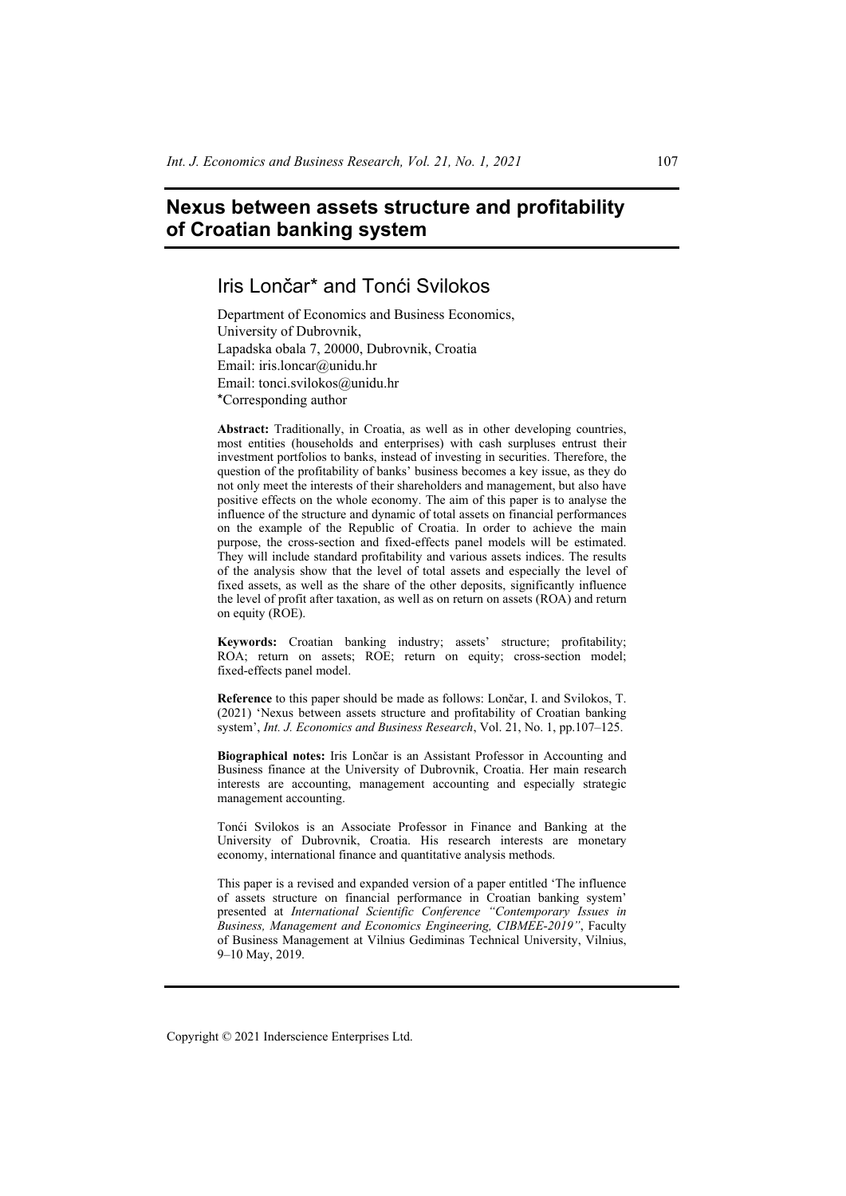# **Nexus between assets structure and profitability of Croatian banking system**

# Iris Lončar\* and Tonći Svilokos

Department of Economics and Business Economics, University of Dubrovnik, Lapadska obala 7, 20000, Dubrovnik, Croatia Email: iris.loncar@unidu.hr Email: tonci.svilokos@unidu.hr \*Corresponding author

**Abstract:** Traditionally, in Croatia, as well as in other developing countries, most entities (households and enterprises) with cash surpluses entrust their investment portfolios to banks, instead of investing in securities. Therefore, the question of the profitability of banks' business becomes a key issue, as they do not only meet the interests of their shareholders and management, but also have positive effects on the whole economy. The aim of this paper is to analyse the influence of the structure and dynamic of total assets on financial performances on the example of the Republic of Croatia. In order to achieve the main purpose, the cross-section and fixed-effects panel models will be estimated. They will include standard profitability and various assets indices. The results of the analysis show that the level of total assets and especially the level of fixed assets, as well as the share of the other deposits, significantly influence the level of profit after taxation, as well as on return on assets (ROA) and return on equity (ROE).

**Keywords:** Croatian banking industry; assets' structure; profitability; ROA; return on assets; ROE; return on equity; cross-section model; fixed-effects panel model.

**Reference** to this paper should be made as follows: Lončar, I. and Svilokos, T. (2021) 'Nexus between assets structure and profitability of Croatian banking system', *Int. J. Economics and Business Research*, Vol. 21, No. 1, pp.107–125.

**Biographical notes:** Iris Lončar is an Assistant Professor in Accounting and Business finance at the University of Dubrovnik, Croatia. Her main research interests are accounting, management accounting and especially strategic management accounting.

Tonći Svilokos is an Associate Professor in Finance and Banking at the University of Dubrovnik, Croatia. His research interests are monetary economy, international finance and quantitative analysis methods.

This paper is a revised and expanded version of a paper entitled 'The influence of assets structure on financial performance in Croatian banking system' presented at *International Scientific Conference "Contemporary Issues in Business, Management and Economics Engineering, CIBMEE-2019"*, Faculty of Business Management at Vilnius Gediminas Technical University, Vilnius, 9–10 May, 2019.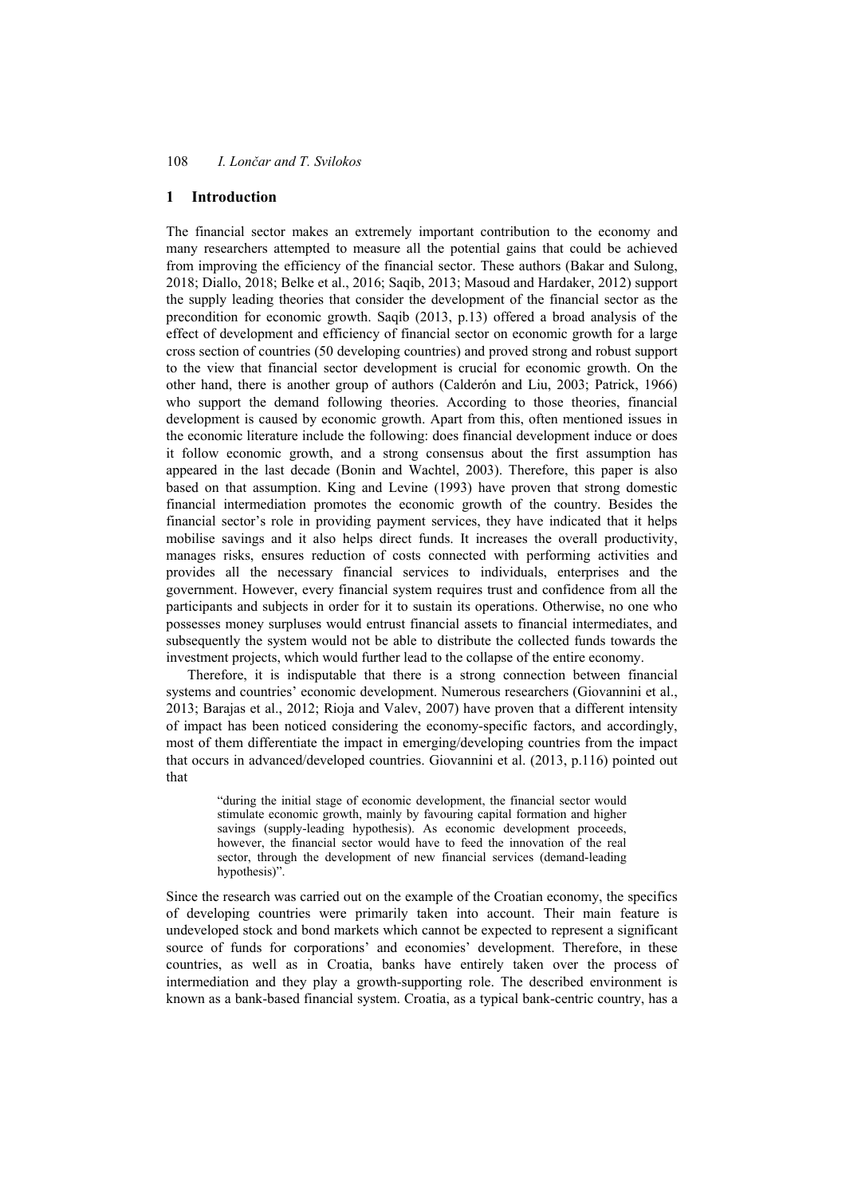# **1 Introduction**

The financial sector makes an extremely important contribution to the economy and many researchers attempted to measure all the potential gains that could be achieved from improving the efficiency of the financial sector. These authors (Bakar and Sulong, 2018; Diallo, 2018; Belke et al., 2016; Saqib, 2013; Masoud and Hardaker, 2012) support the supply leading theories that consider the development of the financial sector as the precondition for economic growth. Saqib (2013, p.13) offered a broad analysis of the effect of development and efficiency of financial sector on economic growth for a large cross section of countries (50 developing countries) and proved strong and robust support to the view that financial sector development is crucial for economic growth. On the other hand, there is another group of authors (Calderón and Liu, 2003; Patrick, 1966) who support the demand following theories. According to those theories, financial development is caused by economic growth. Apart from this, often mentioned issues in the economic literature include the following: does financial development induce or does it follow economic growth, and a strong consensus about the first assumption has appeared in the last decade (Bonin and Wachtel, 2003). Therefore, this paper is also based on that assumption. King and Levine (1993) have proven that strong domestic financial intermediation promotes the economic growth of the country. Besides the financial sector's role in providing payment services, they have indicated that it helps mobilise savings and it also helps direct funds. It increases the overall productivity, manages risks, ensures reduction of costs connected with performing activities and provides all the necessary financial services to individuals, enterprises and the government. However, every financial system requires trust and confidence from all the participants and subjects in order for it to sustain its operations. Otherwise, no one who possesses money surpluses would entrust financial assets to financial intermediates, and subsequently the system would not be able to distribute the collected funds towards the investment projects, which would further lead to the collapse of the entire economy.

Therefore, it is indisputable that there is a strong connection between financial systems and countries' economic development. Numerous researchers (Giovannini et al., 2013; Barajas et al., 2012; Rioja and Valev, 2007) have proven that a different intensity of impact has been noticed considering the economy-specific factors, and accordingly, most of them differentiate the impact in emerging/developing countries from the impact that occurs in advanced/developed countries. Giovannini et al. (2013, p.116) pointed out that

"during the initial stage of economic development, the financial sector would stimulate economic growth, mainly by favouring capital formation and higher savings (supply-leading hypothesis). As economic development proceeds, however, the financial sector would have to feed the innovation of the real sector, through the development of new financial services (demand-leading hypothesis)".

Since the research was carried out on the example of the Croatian economy, the specifics of developing countries were primarily taken into account. Their main feature is undeveloped stock and bond markets which cannot be expected to represent a significant source of funds for corporations' and economies' development. Therefore, in these countries, as well as in Croatia, banks have entirely taken over the process of intermediation and they play a growth-supporting role. The described environment is known as a bank-based financial system. Croatia, as a typical bank-centric country, has a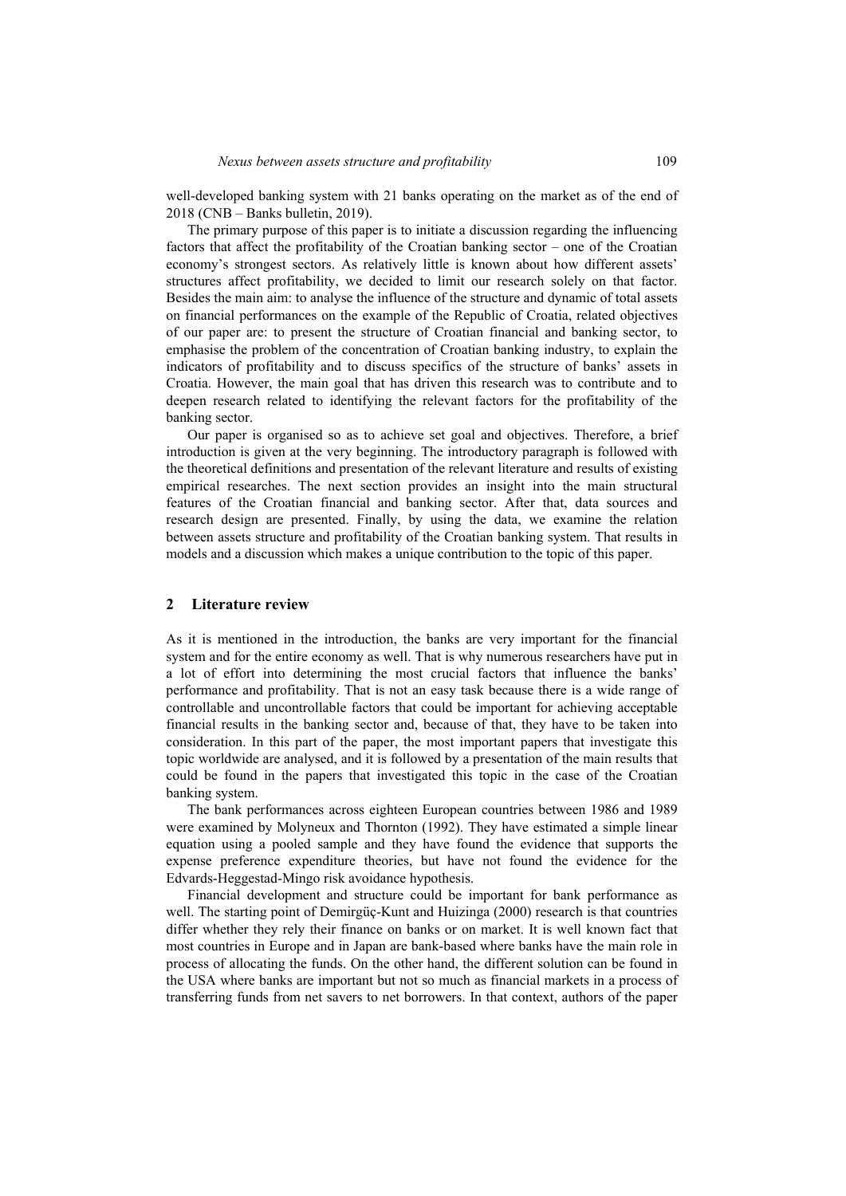well-developed banking system with 21 banks operating on the market as of the end of 2018 (CNB – Banks bulletin, 2019).

The primary purpose of this paper is to initiate a discussion regarding the influencing factors that affect the profitability of the Croatian banking sector – one of the Croatian economy's strongest sectors. As relatively little is known about how different assets' structures affect profitability, we decided to limit our research solely on that factor. Besides the main aim: to analyse the influence of the structure and dynamic of total assets on financial performances on the example of the Republic of Croatia, related objectives of our paper are: to present the structure of Croatian financial and banking sector, to emphasise the problem of the concentration of Croatian banking industry, to explain the indicators of profitability and to discuss specifics of the structure of banks' assets in Croatia. However, the main goal that has driven this research was to contribute and to deepen research related to identifying the relevant factors for the profitability of the banking sector.

Our paper is organised so as to achieve set goal and objectives. Therefore, a brief introduction is given at the very beginning. The introductory paragraph is followed with the theoretical definitions and presentation of the relevant literature and results of existing empirical researches. The next section provides an insight into the main structural features of the Croatian financial and banking sector. After that, data sources and research design are presented. Finally, by using the data, we examine the relation between assets structure and profitability of the Croatian banking system. That results in models and a discussion which makes a unique contribution to the topic of this paper.

#### **2 Literature review**

As it is mentioned in the introduction, the banks are very important for the financial system and for the entire economy as well. That is why numerous researchers have put in a lot of effort into determining the most crucial factors that influence the banks' performance and profitability. That is not an easy task because there is a wide range of controllable and uncontrollable factors that could be important for achieving acceptable financial results in the banking sector and, because of that, they have to be taken into consideration. In this part of the paper, the most important papers that investigate this topic worldwide are analysed, and it is followed by a presentation of the main results that could be found in the papers that investigated this topic in the case of the Croatian banking system.

The bank performances across eighteen European countries between 1986 and 1989 were examined by Molyneux and Thornton (1992). They have estimated a simple linear equation using a pooled sample and they have found the evidence that supports the expense preference expenditure theories, but have not found the evidence for the Edvards-Heggestad-Mingo risk avoidance hypothesis.

Financial development and structure could be important for bank performance as well. The starting point of Demirgüç-Kunt and Huizinga (2000) research is that countries differ whether they rely their finance on banks or on market. It is well known fact that most countries in Europe and in Japan are bank-based where banks have the main role in process of allocating the funds. On the other hand, the different solution can be found in the USA where banks are important but not so much as financial markets in a process of transferring funds from net savers to net borrowers. In that context, authors of the paper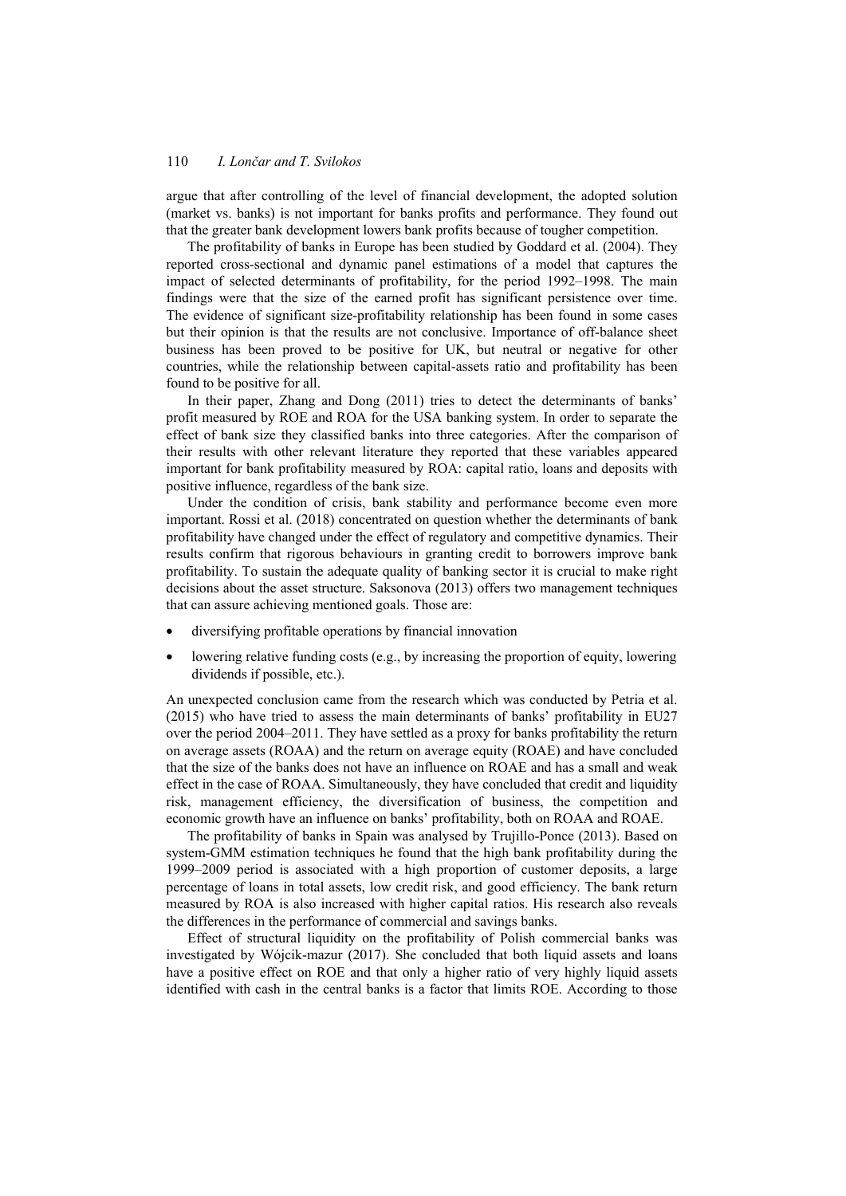argue that after controlling of the level of financial development, the adopted solution (market vs. banks) is not important for banks profits and performance. They found out that the greater bank development lowers bank profits because of tougher competition.

The profitability of banks in Europe has been studied by Goddard et al. (2004). They reported cross-sectional and dynamic panel estimations of a model that captures the impact of selected determinants of profitability, for the period 1992–1998. The main findings were that the size of the earned profit has significant persistence over time. The evidence of significant size-profitability relationship has been found in some cases but their opinion is that the results are not conclusive. Importance of off-balance sheet business has been proved to be positive for UK, but neutral or negative for other countries, while the relationship between capital-assets ratio and profitability has been found to be positive for all.

In their paper, Zhang and Dong (2011) tries to detect the determinants of banks' profit measured by ROE and ROA for the USA banking system. In order to separate the effect of bank size they classified banks into three categories. After the comparison of their results with other relevant literature they reported that these variables appeared important for bank profitability measured by ROA: capital ratio, loans and deposits with positive influence, regardless of the bank size.

Under the condition of crisis, bank stability and performance become even more important. Rossi et al. (2018) concentrated on question whether the determinants of bank profitability have changed under the effect of regulatory and competitive dynamics. Their results confirm that rigorous behaviours in granting credit to borrowers improve bank profitability. To sustain the adequate quality of banking sector it is crucial to make right decisions about the asset structure. Saksonova (2013) offers two management techniques that can assure achieving mentioned goals. Those are:

- diversifying profitable operations by financial innovation
- lowering relative funding costs (e.g., by increasing the proportion of equity, lowering dividends if possible, etc.).

An unexpected conclusion came from the research which was conducted by Petria et al. (2015) who have tried to assess the main determinants of banks' profitability in EU27 over the period 2004–2011. They have settled as a proxy for banks profitability the return on average assets (ROAA) and the return on average equity (ROAE) and have concluded that the size of the banks does not have an influence on ROAE and has a small and weak effect in the case of ROAA. Simultaneously, they have concluded that credit and liquidity risk, management efficiency, the diversification of business, the competition and economic growth have an influence on banks' profitability, both on ROAA and ROAE.

The profitability of banks in Spain was analysed by Trujillo-Ponce (2013). Based on system-GMM estimation techniques he found that the high bank profitability during the 1999–2009 period is associated with a high proportion of customer deposits, a large percentage of loans in total assets, low credit risk, and good efficiency. The bank return measured by ROA is also increased with higher capital ratios. His research also reveals the differences in the performance of commercial and savings banks.

Effect of structural liquidity on the profitability of Polish commercial banks was investigated by Wójcik-mazur (2017). She concluded that both liquid assets and loans have a positive effect on ROE and that only a higher ratio of very highly liquid assets identified with cash in the central banks is a factor that limits ROE. According to those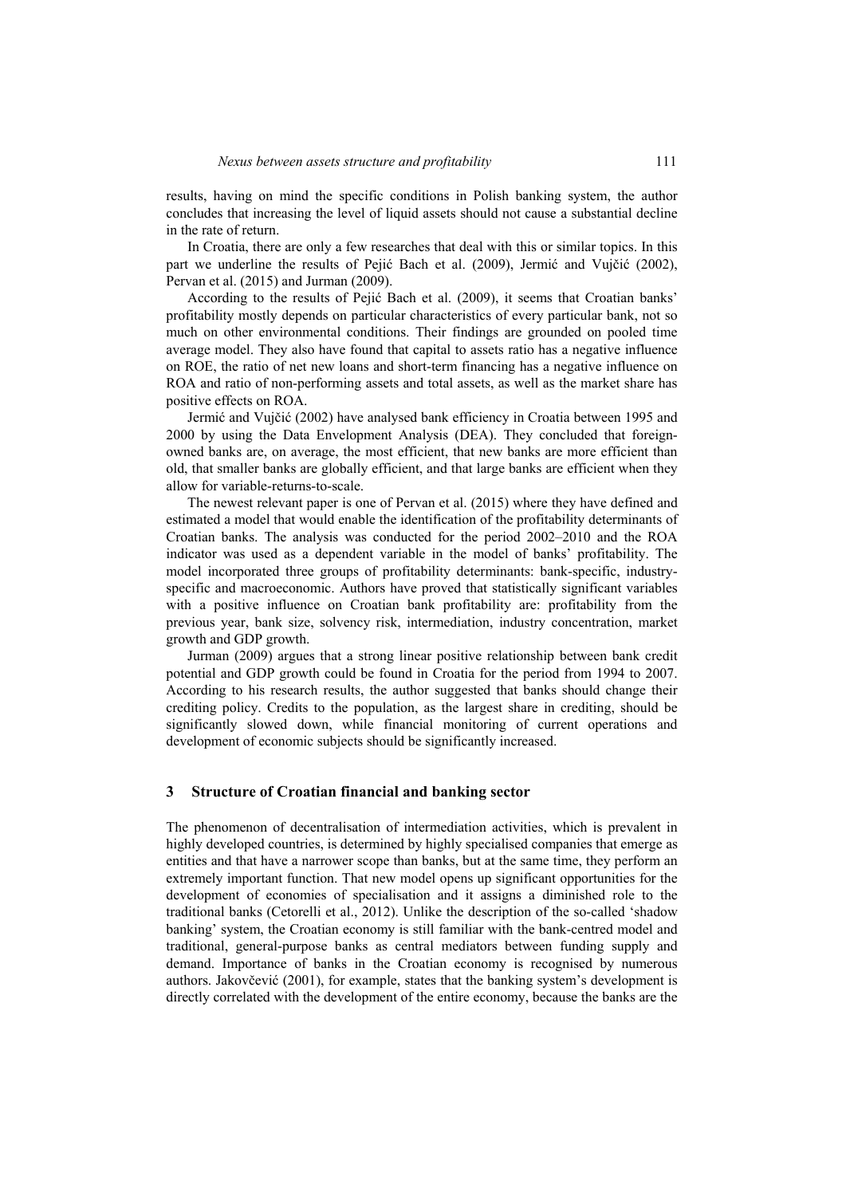results, having on mind the specific conditions in Polish banking system, the author concludes that increasing the level of liquid assets should not cause a substantial decline in the rate of return.

In Croatia, there are only a few researches that deal with this or similar topics. In this part we underline the results of Pejić Bach et al. (2009), Jermić and Vujčić (2002), Pervan et al. (2015) and Jurman (2009).

According to the results of Pejić Bach et al. (2009), it seems that Croatian banks' profitability mostly depends on particular characteristics of every particular bank, not so much on other environmental conditions. Their findings are grounded on pooled time average model. They also have found that capital to assets ratio has a negative influence on ROE, the ratio of net new loans and short-term financing has a negative influence on ROA and ratio of non-performing assets and total assets, as well as the market share has positive effects on ROA.

Jermić and Vujčić (2002) have analysed bank efficiency in Croatia between 1995 and 2000 by using the Data Envelopment Analysis (DEA). They concluded that foreignowned banks are, on average, the most efficient, that new banks are more efficient than old, that smaller banks are globally efficient, and that large banks are efficient when they allow for variable-returns-to-scale.

The newest relevant paper is one of Pervan et al. (2015) where they have defined and estimated a model that would enable the identification of the profitability determinants of Croatian banks. The analysis was conducted for the period 2002–2010 and the ROA indicator was used as a dependent variable in the model of banks' profitability. The model incorporated three groups of profitability determinants: bank-specific, industryspecific and macroeconomic. Authors have proved that statistically significant variables with a positive influence on Croatian bank profitability are: profitability from the previous year, bank size, solvency risk, intermediation, industry concentration, market growth and GDP growth.

Jurman (2009) argues that a strong linear positive relationship between bank credit potential and GDP growth could be found in Croatia for the period from 1994 to 2007. According to his research results, the author suggested that banks should change their crediting policy. Credits to the population, as the largest share in crediting, should be significantly slowed down, while financial monitoring of current operations and development of economic subjects should be significantly increased.

#### **3 Structure of Croatian financial and banking sector**

The phenomenon of decentralisation of intermediation activities, which is prevalent in highly developed countries, is determined by highly specialised companies that emerge as entities and that have a narrower scope than banks, but at the same time, they perform an extremely important function. That new model opens up significant opportunities for the development of economies of specialisation and it assigns a diminished role to the traditional banks (Cetorelli et al., 2012). Unlike the description of the so-called 'shadow banking' system, the Croatian economy is still familiar with the bank-centred model and traditional, general-purpose banks as central mediators between funding supply and demand. Importance of banks in the Croatian economy is recognised by numerous authors. Jakovčević (2001), for example, states that the banking system's development is directly correlated with the development of the entire economy, because the banks are the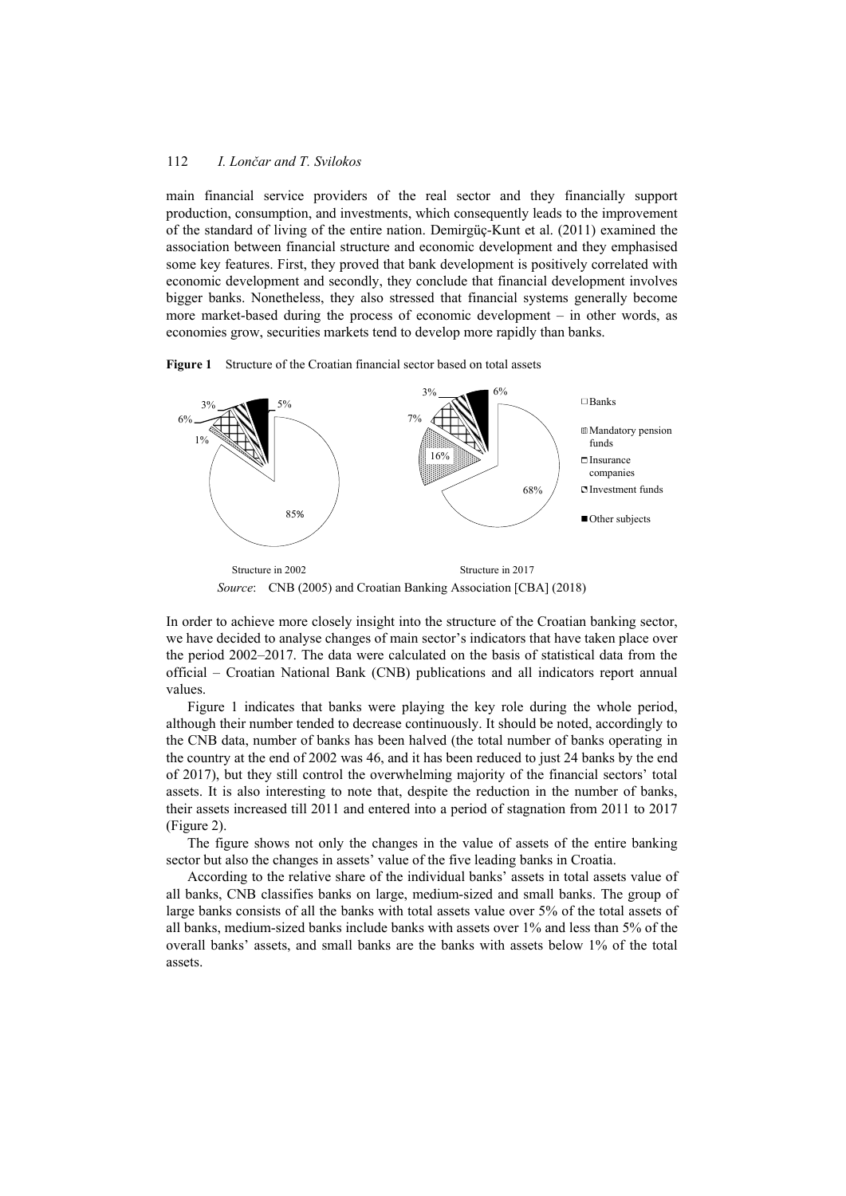main financial service providers of the real sector and they financially support production, consumption, and investments, which consequently leads to the improvement of the standard of living of the entire nation. Demirgüç-Kunt et al. (2011) examined the association between financial structure and economic development and they emphasised some key features. First, they proved that bank development is positively correlated with economic development and secondly, they conclude that financial development involves bigger banks. Nonetheless, they also stressed that financial systems generally become more market-based during the process of economic development – in other words, as economies grow, securities markets tend to develop more rapidly than banks.



**Figure 1** Structure of the Croatian financial sector based on total assets

*Source*: CNB (2005) and Croatian Banking Association [CBA] (2018)

In order to achieve more closely insight into the structure of the Croatian banking sector, we have decided to analyse changes of main sector's indicators that have taken place over the period 2002–2017. The data were calculated on the basis of statistical data from the official – Croatian National Bank (CNB) publications and all indicators report annual values.

Figure 1 indicates that banks were playing the key role during the whole period, although their number tended to decrease continuously. It should be noted, accordingly to the CNB data, number of banks has been halved (the total number of banks operating in the country at the end of 2002 was 46, and it has been reduced to just 24 banks by the end of 2017), but they still control the overwhelming majority of the financial sectors' total assets. It is also interesting to note that, despite the reduction in the number of banks, their assets increased till 2011 and entered into a period of stagnation from 2011 to 2017 (Figure 2).

The figure shows not only the changes in the value of assets of the entire banking sector but also the changes in assets' value of the five leading banks in Croatia.

According to the relative share of the individual banks' assets in total assets value of all banks, CNB classifies banks on large, medium-sized and small banks. The group of large banks consists of all the banks with total assets value over 5% of the total assets of all banks, medium-sized banks include banks with assets over 1% and less than 5% of the overall banks' assets, and small banks are the banks with assets below 1% of the total assets.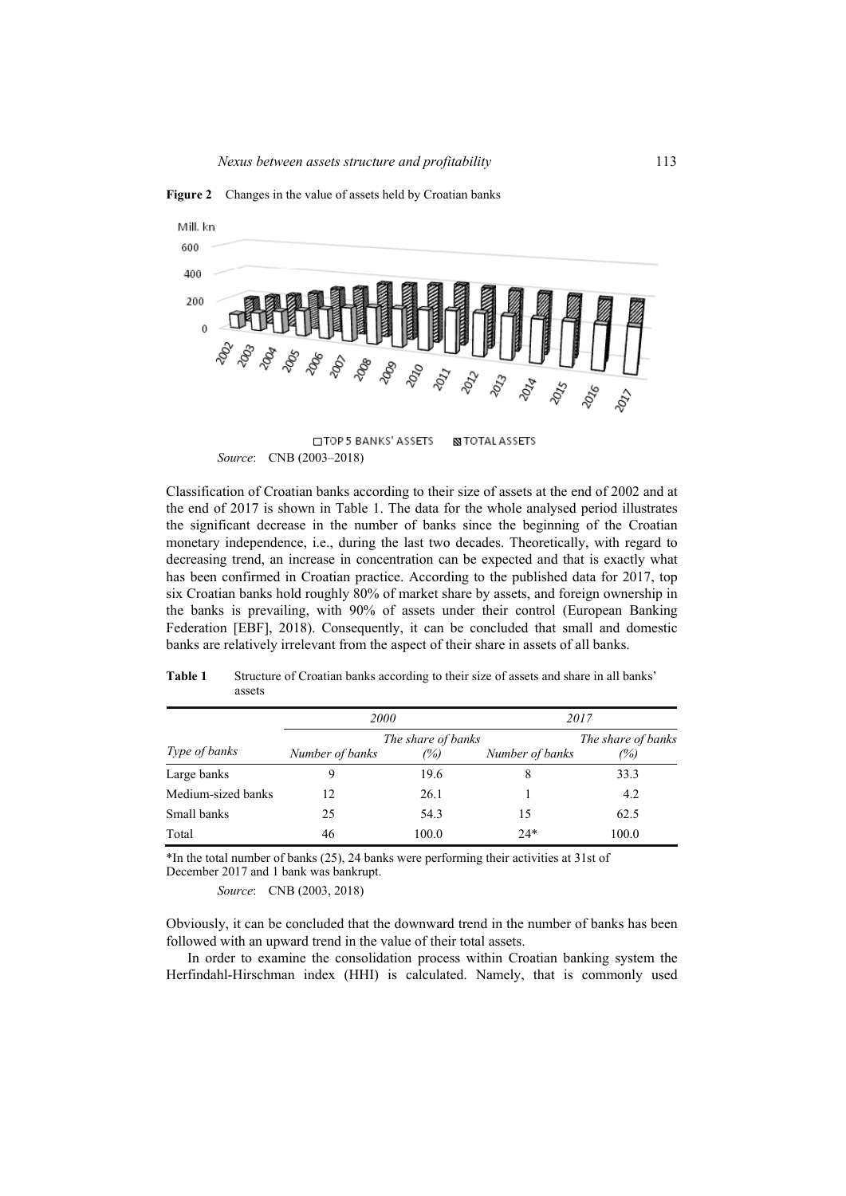

**Figure 2** Changes in the value of assets held by Croatian banks

Classification of Croatian banks according to their size of assets at the end of 2002 and at the end of 2017 is shown in Table 1. The data for the whole analysed period illustrates the significant decrease in the number of banks since the beginning of the Croatian monetary independence, i.e., during the last two decades. Theoretically, with regard to decreasing trend, an increase in concentration can be expected and that is exactly what has been confirmed in Croatian practice. According to the published data for 2017, top six Croatian banks hold roughly 80% of market share by assets, and foreign ownership in the banks is prevailing, with 90% of assets under their control (European Banking Federation [EBF], 2018). Consequently, it can be concluded that small and domestic banks are relatively irrelevant from the aspect of their share in assets of all banks.

|                      | <i>2000</i>     |                           |                 | 2017                      |  |
|----------------------|-----------------|---------------------------|-----------------|---------------------------|--|
| <i>Type of banks</i> | Number of banks | The share of banks<br>(%) | Number of banks | The share of banks<br>(%) |  |
| Large banks          | Q               | 19.6                      | 8               | 33.3                      |  |
| Medium-sized banks   | 12              | 26.1                      |                 | 4.2                       |  |
| Small banks          | 25              | 54.3                      | 15              | 62.5                      |  |
| Total                | 46              | 100.0                     | $24*$           | 100.0                     |  |

**Table 1** Structure of Croatian banks according to their size of assets and share in all banks' assets

\*In the total number of banks (25), 24 banks were performing their activities at 31st of December 2017 and 1 bank was bankrupt.

*Source*: CNB (2003, 2018)

Obviously, it can be concluded that the downward trend in the number of banks has been followed with an upward trend in the value of their total assets.

In order to examine the consolidation process within Croatian banking system the Herfindahl-Hirschman index (HHI) is calculated. Namely, that is commonly used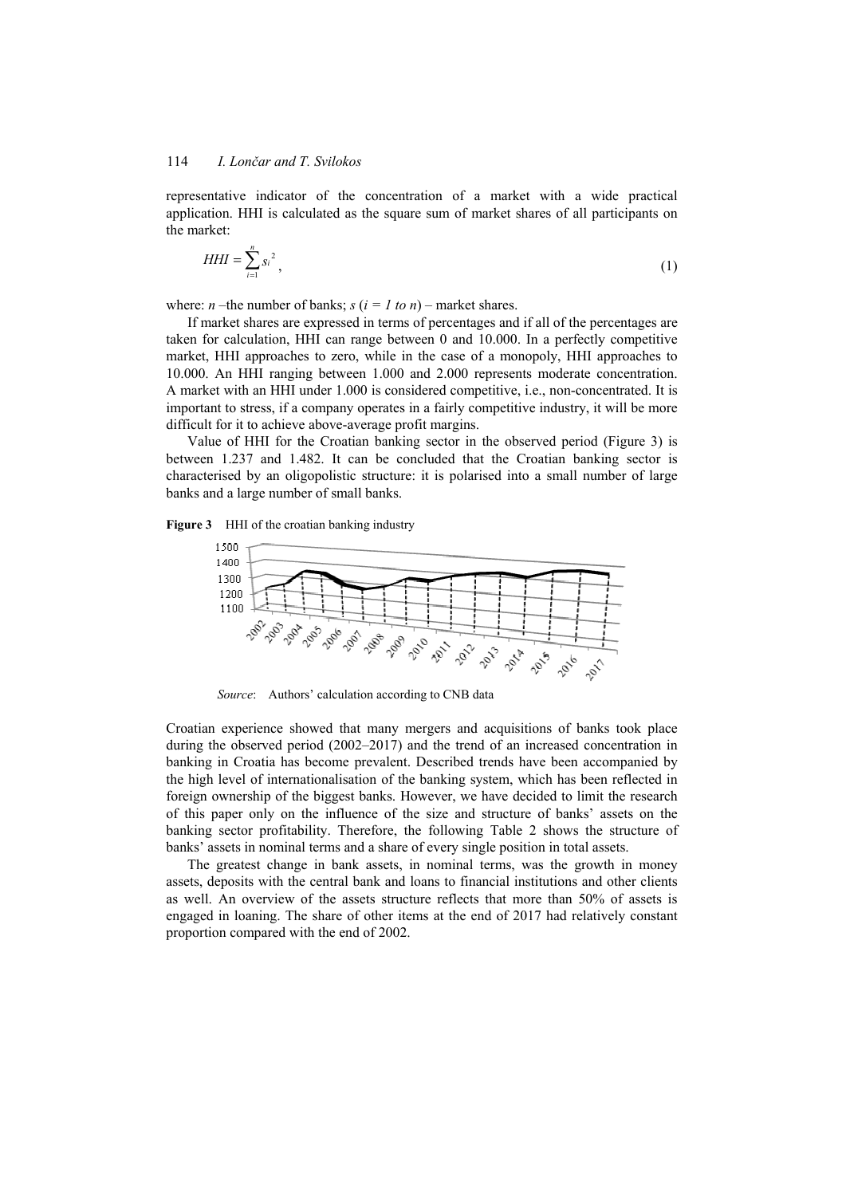representative indicator of the concentration of a market with a wide practical application. HHI is calculated as the square sum of market shares of all participants on the market:

$$
HHI = \sum_{i=1}^{n} s_i^2 \tag{1}
$$

where: *n* –the number of banks;  $s (i = 1 to n)$  – market shares.

If market shares are expressed in terms of percentages and if all of the percentages are taken for calculation, HHI can range between 0 and 10.000. In a perfectly competitive market, HHI approaches to zero, while in the case of a monopoly, HHI approaches to 10.000. An HHI ranging between 1.000 and 2.000 represents moderate concentration. A market with an HHI under 1.000 is considered competitive, i.e., non-concentrated. It is important to stress, if a company operates in a fairly competitive industry, it will be more difficult for it to achieve above-average profit margins.

Value of HHI for the Croatian banking sector in the observed period (Figure 3) is between 1.237 and 1.482. It can be concluded that the Croatian banking sector is characterised by an oligopolistic structure: it is polarised into a small number of large banks and a large number of small banks.





*Source*: Authors' calculation according to CNB data

Croatian experience showed that many mergers and acquisitions of banks took place during the observed period (2002–2017) and the trend of an increased concentration in banking in Croatia has become prevalent. Described trends have been accompanied by the high level of internationalisation of the banking system, which has been reflected in foreign ownership of the biggest banks. However, we have decided to limit the research of this paper only on the influence of the size and structure of banks' assets on the banking sector profitability. Therefore, the following Table 2 shows the structure of banks' assets in nominal terms and a share of every single position in total assets.

The greatest change in bank assets, in nominal terms, was the growth in money assets, deposits with the central bank and loans to financial institutions and other clients as well. An overview of the assets structure reflects that more than 50% of assets is engaged in loaning. The share of other items at the end of 2017 had relatively constant proportion compared with the end of 2002.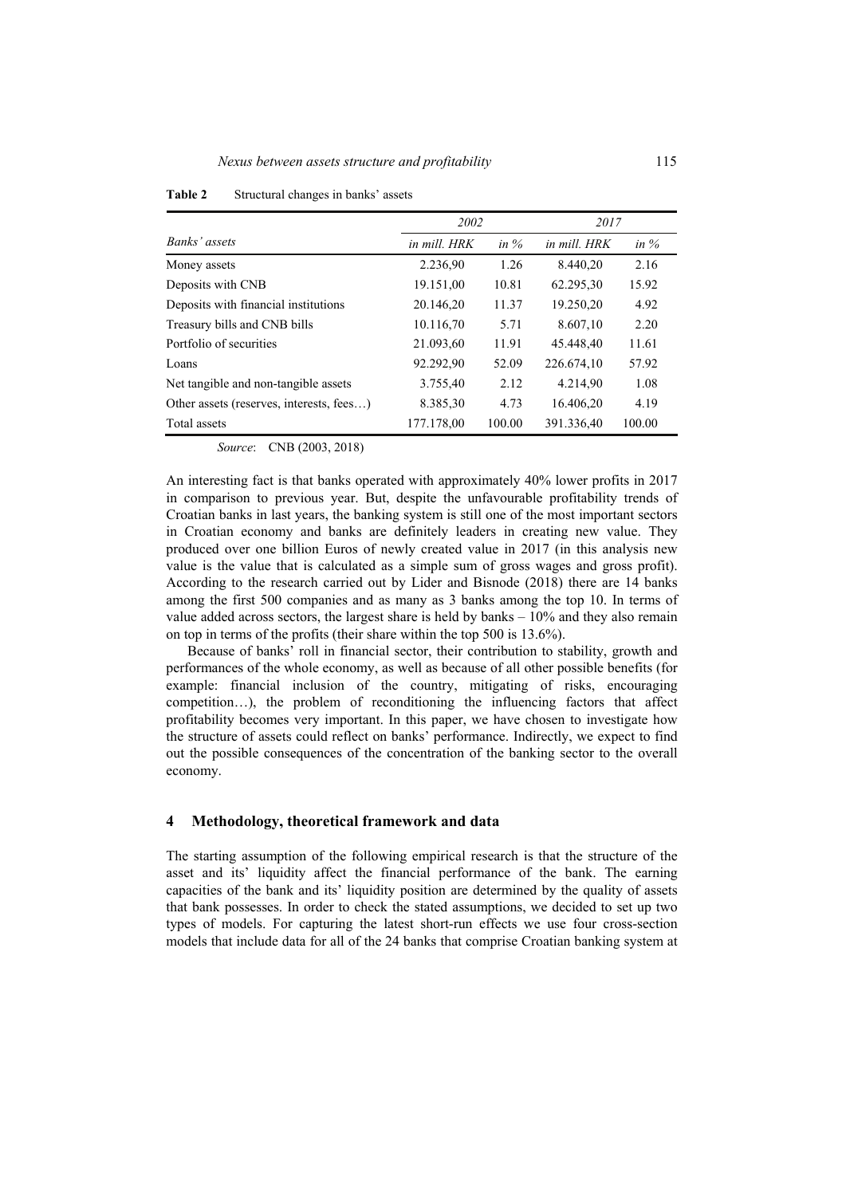|                                          | 2002         |         | 2017         |         |
|------------------------------------------|--------------|---------|--------------|---------|
| Banks' assets                            | in mill. HRK | in $\%$ | in mill. HRK | in $\%$ |
| Money assets                             | 2.236,90     | 1.26    | 8.440,20     | 2.16    |
| Deposits with CNB                        | 19.151,00    | 10.81   | 62.295,30    | 15.92   |
| Deposits with financial institutions     | 20.146,20    | 11.37   | 19.250.20    | 4.92    |
| Treasury bills and CNB bills             | 10.116,70    | 5.71    | 8.607.10     | 2.20    |
| Portfolio of securities                  | 21.093,60    | 11.91   | 45.448.40    | 11.61   |
| Loans                                    | 92.292,90    | 52.09   | 226.674,10   | 57.92   |
| Net tangible and non-tangible assets     | 3.755,40     | 2.12    | 4.214,90     | 1.08    |
| Other assets (reserves, interests, fees) | 8.385,30     | 4.73    | 16.406,20    | 4.19    |
| Total assets                             | 177.178,00   | 100.00  | 391.336.40   | 100.00  |

**Table 2** Structural changes in banks' assets

*Source*: CNB (2003, 2018)

An interesting fact is that banks operated with approximately 40% lower profits in 2017 in comparison to previous year. But, despite the unfavourable profitability trends of Croatian banks in last years, the banking system is still one of the most important sectors in Croatian economy and banks are definitely leaders in creating new value. They produced over one billion Euros of newly created value in 2017 (in this analysis new value is the value that is calculated as a simple sum of gross wages and gross profit). According to the research carried out by Lider and Bisnode (2018) there are 14 banks among the first 500 companies and as many as 3 banks among the top 10. In terms of value added across sectors, the largest share is held by banks – 10% and they also remain on top in terms of the profits (their share within the top 500 is 13.6%).

Because of banks' roll in financial sector, their contribution to stability, growth and performances of the whole economy, as well as because of all other possible benefits (for example: financial inclusion of the country, mitigating of risks, encouraging competition…), the problem of reconditioning the influencing factors that affect profitability becomes very important. In this paper, we have chosen to investigate how the structure of assets could reflect on banks' performance. Indirectly, we expect to find out the possible consequences of the concentration of the banking sector to the overall economy.

#### **4 Methodology, theoretical framework and data**

The starting assumption of the following empirical research is that the structure of the asset and its' liquidity affect the financial performance of the bank. The earning capacities of the bank and its' liquidity position are determined by the quality of assets that bank possesses. In order to check the stated assumptions, we decided to set up two types of models. For capturing the latest short-run effects we use four cross-section models that include data for all of the 24 banks that comprise Croatian banking system at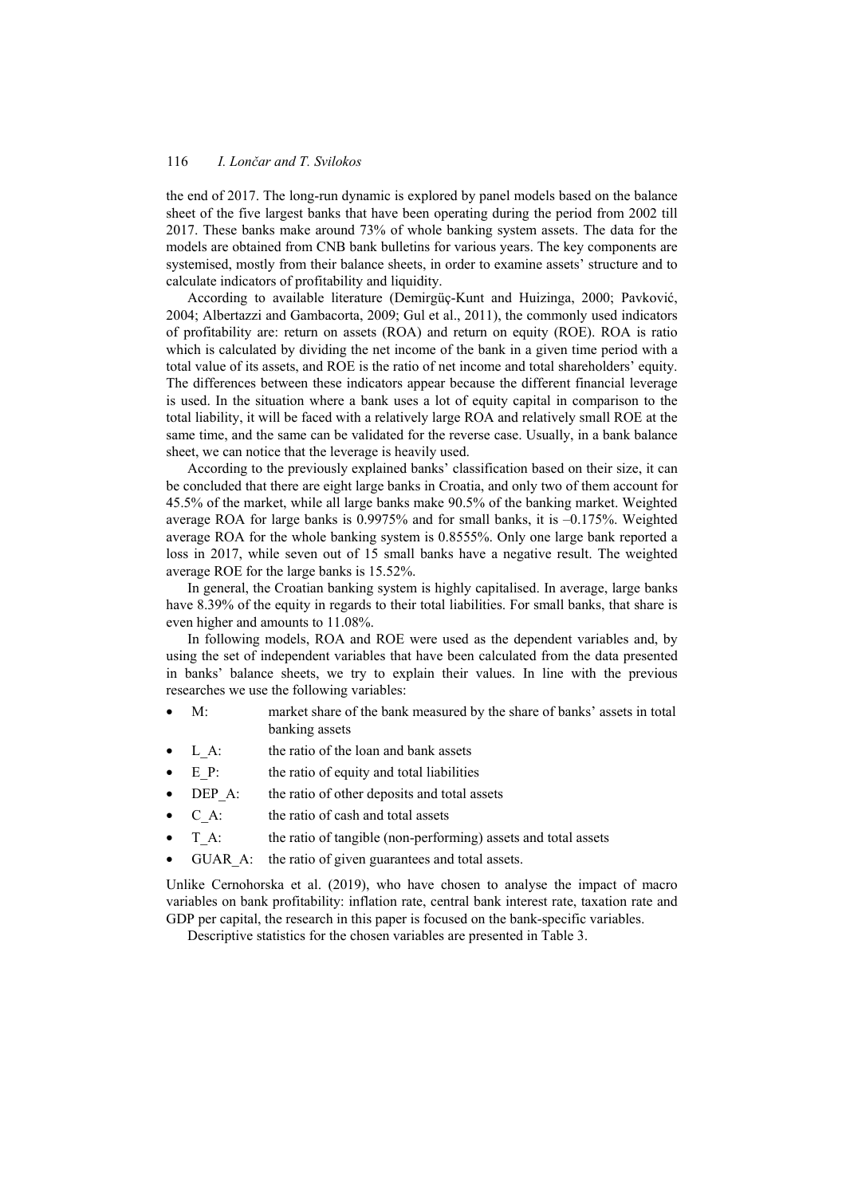the end of 2017. The long-run dynamic is explored by panel models based on the balance sheet of the five largest banks that have been operating during the period from 2002 till 2017. These banks make around 73% of whole banking system assets. The data for the models are obtained from CNB bank bulletins for various years. The key components are systemised, mostly from their balance sheets, in order to examine assets' structure and to calculate indicators of profitability and liquidity.

According to available literature (Demirgüç-Kunt and Huizinga, 2000; Pavković, 2004; Albertazzi and Gambacorta, 2009; Gul et al., 2011), the commonly used indicators of profitability are: return on assets (ROA) and return on equity (ROE). ROA is ratio which is calculated by dividing the net income of the bank in a given time period with a total value of its assets, and ROE is the ratio of net income and total shareholders' equity. The differences between these indicators appear because the different financial leverage is used. In the situation where a bank uses a lot of equity capital in comparison to the total liability, it will be faced with a relatively large ROA and relatively small ROE at the same time, and the same can be validated for the reverse case. Usually, in a bank balance sheet, we can notice that the leverage is heavily used.

According to the previously explained banks' classification based on their size, it can be concluded that there are eight large banks in Croatia, and only two of them account for 45.5% of the market, while all large banks make 90.5% of the banking market. Weighted average ROA for large banks is 0.9975% and for small banks, it is –0.175%. Weighted average ROA for the whole banking system is 0.8555%. Only one large bank reported a loss in 2017, while seven out of 15 small banks have a negative result. The weighted average ROE for the large banks is 15.52%.

In general, the Croatian banking system is highly capitalised. In average, large banks have 8.39% of the equity in regards to their total liabilities. For small banks, that share is even higher and amounts to 11.08%.

In following models, ROA and ROE were used as the dependent variables and, by using the set of independent variables that have been calculated from the data presented in banks' balance sheets, we try to explain their values. In line with the previous researches we use the following variables:

- M: market share of the bank measured by the share of banks' assets in total banking assets
- L A: the ratio of the loan and bank assets
- E P: the ratio of equity and total liabilities
- DEP A: the ratio of other deposits and total assets
- C\_A: the ratio of cash and total assets
- T A: the ratio of tangible (non-performing) assets and total assets
- GUAR A: the ratio of given guarantees and total assets.

Unlike Cernohorska et al. (2019), who have chosen to analyse the impact of macro variables on bank profitability: inflation rate, central bank interest rate, taxation rate and GDP per capital, the research in this paper is focused on the bank-specific variables.

Descriptive statistics for the chosen variables are presented in Table 3.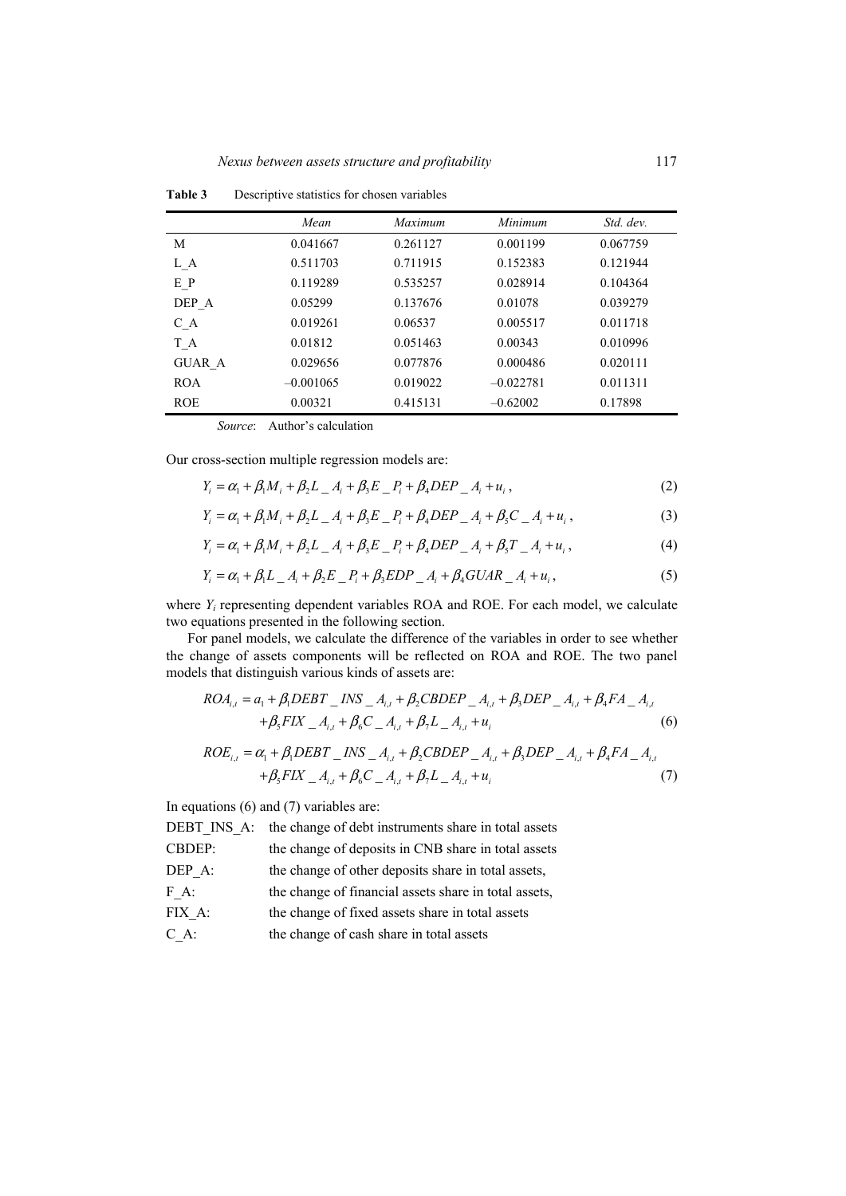|               | Mean        | Maximum  | Minimum     | Std. dev. |
|---------------|-------------|----------|-------------|-----------|
| М             | 0.041667    | 0.261127 | 0.001199    | 0.067759  |
| L A           | 0.511703    | 0.711915 | 0.152383    | 0.121944  |
| E P           | 0.119289    | 0.535257 | 0.028914    | 0.104364  |
| DEP A         | 0.05299     | 0.137676 | 0.01078     | 0.039279  |
| C A           | 0.019261    | 0.06537  | 0.005517    | 0.011718  |
| T A           | 0.01812     | 0.051463 | 0.00343     | 0.010996  |
| <b>GUAR A</b> | 0.029656    | 0.077876 | 0.000486    | 0.020111  |
| <b>ROA</b>    | $-0.001065$ | 0.019022 | $-0.022781$ | 0.011311  |
| <b>ROE</b>    | 0.00321     | 0.415131 | $-0.62002$  | 0.17898   |

**Table 3** Descriptive statistics for chosen variables

*Source*: Author's calculation

Our cross-section multiple regression models are:

$$
Y_i = \alpha_1 + \beta_1 M_i + \beta_2 L_i + \beta_3 E_i - P_i + \beta_4 DEP_i + u_i,
$$
\n(2)

$$
Y_i = \alpha_1 + \beta_1 M_i + \beta_2 L_i + \beta_3 E_i - P_i + \beta_4 D E P_i + A_i + \beta_5 C_i + A_i + u_i,
$$
\n(3)

$$
Y_i = \alpha_1 + \beta_1 M_i + \beta_2 L_i + \beta_3 E_i - P_i + \beta_4 DEP_i + \beta_5 T_i + \beta_6 T_i + u_i,
$$
\n(4)

$$
Y_i = \alpha_1 + \beta_1 L_{-} A_i + \beta_2 E_{-} P_i + \beta_3 EDP_{-} A_i + \beta_4 GUAR_{-} A_i + u_i,
$$
\n(5)

where *Yi* representing dependent variables ROA and ROE. For each model, we calculate two equations presented in the following section.

For panel models, we calculate the difference of the variables in order to see whether the change of assets components will be reflected on ROA and ROE. The two panel models that distinguish various kinds of assets are:

$$
ROA_{i,t} = a_1 + \beta_1 DEBT \_INS \_A_{i,t} + \beta_2 CBDEP \_A_{i,t} + \beta_3 DEP \_A_{i,t} + \beta_4 FA \_A_{i,t} + \beta_5 FIX \_A_{i,t} + \beta_6 C \_A_{i,t} + \beta_7 L \_A_{i,t} + u_i
$$
 (6)

$$
ROE_{i,t} = \alpha_1 + \beta_1 DEBT \_INS \_A_{i,t} + \beta_2 CBDEP \_A_{i,t} + \beta_3 DEP \_A_{i,t} + \beta_4 FA \_A_{i,t} + \beta_5 FIX \_A_{i,t} + \beta_6 C \_A_{i,t} + \beta_7 L \_A_{i,t} + u_i
$$
\n(7)

In equations (6) and (7) variables are:

DEBT INS A: the change of debt instruments share in total assets

CBDEP: the change of deposits in CNB share in total assets

- DEP A: the change of other deposits share in total assets,
- F\_A: the change of financial assets share in total assets,
- FIX\_A: the change of fixed assets share in total assets
- C\_A: the change of cash share in total assets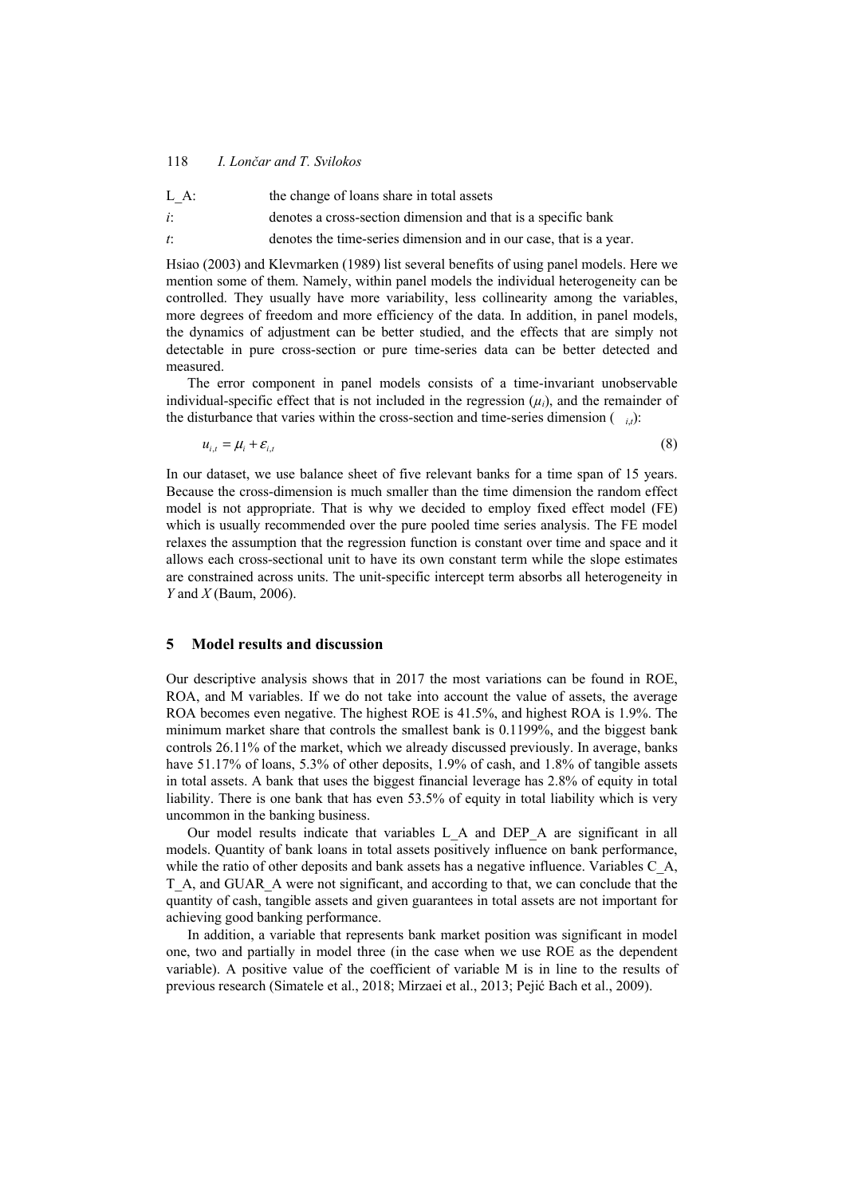#### 118 *I. Lončar and T. Svilokos*

- L A: the change of loans share in total assets
- *i*: denotes a cross-section dimension and that is a specific bank
- *t*: denotes the time-series dimension and in our case, that is a year.

Hsiao (2003) and Klevmarken (1989) list several benefits of using panel models. Here we mention some of them. Namely, within panel models the individual heterogeneity can be controlled. They usually have more variability, less collinearity among the variables, more degrees of freedom and more efficiency of the data. In addition, in panel models, the dynamics of adjustment can be better studied, and the effects that are simply not detectable in pure cross-section or pure time-series data can be better detected and measured.

The error component in panel models consists of a time-invariant unobservable individual-specific effect that is not included in the regression  $(\mu_i)$ , and the remainder of the disturbance that varies within the cross-section and time-series dimension  $\binom{i}{i}$ :

 $u_{i} = \mu_i + \varepsilon_{i}$  (8)

In our dataset, we use balance sheet of five relevant banks for a time span of 15 years. Because the cross-dimension is much smaller than the time dimension the random effect model is not appropriate. That is why we decided to employ fixed effect model (FE) which is usually recommended over the pure pooled time series analysis. The FE model relaxes the assumption that the regression function is constant over time and space and it allows each cross-sectional unit to have its own constant term while the slope estimates are constrained across units. The unit-specific intercept term absorbs all heterogeneity in *Y* and *X* (Baum, 2006).

### **5 Model results and discussion**

Our descriptive analysis shows that in 2017 the most variations can be found in ROE, ROA, and M variables. If we do not take into account the value of assets, the average ROA becomes even negative. The highest ROE is 41.5%, and highest ROA is 1.9%. The minimum market share that controls the smallest bank is 0.1199%, and the biggest bank controls 26.11% of the market, which we already discussed previously. In average, banks have 51.17% of loans, 5.3% of other deposits, 1.9% of cash, and 1.8% of tangible assets in total assets. A bank that uses the biggest financial leverage has 2.8% of equity in total liability. There is one bank that has even 53.5% of equity in total liability which is very uncommon in the banking business.

Our model results indicate that variables L\_A and DEP\_A are significant in all models. Quantity of bank loans in total assets positively influence on bank performance, while the ratio of other deposits and bank assets has a negative influence. Variables C\_A, T\_A, and GUAR\_A were not significant, and according to that, we can conclude that the quantity of cash, tangible assets and given guarantees in total assets are not important for achieving good banking performance.

In addition, a variable that represents bank market position was significant in model one, two and partially in model three (in the case when we use ROE as the dependent variable). A positive value of the coefficient of variable M is in line to the results of previous research (Simatele et al., 2018; Mirzaei et al., 2013; Pejić Bach et al., 2009).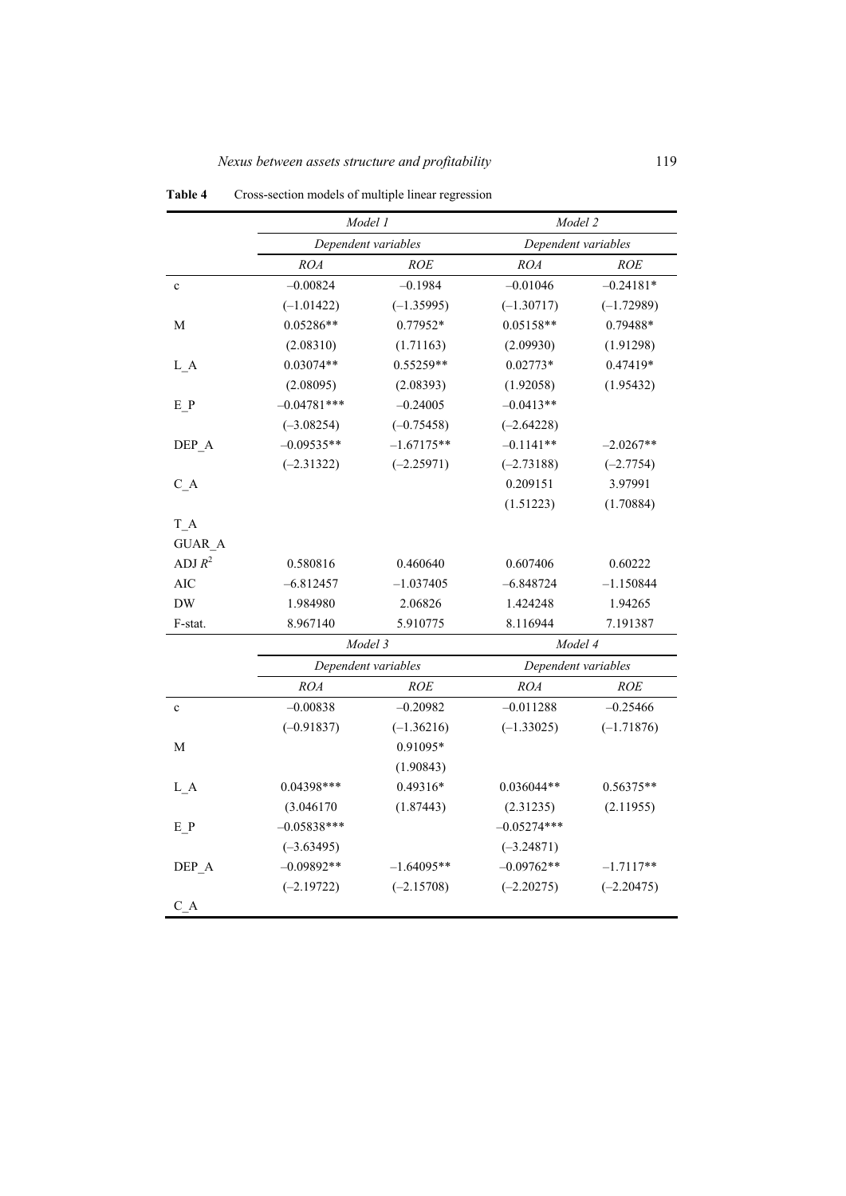|               | Model 1             |              | Model 2             |              |  |
|---------------|---------------------|--------------|---------------------|--------------|--|
|               | Dependent variables |              | Dependent variables |              |  |
|               | <b>ROA</b>          | <b>ROE</b>   | <i>ROA</i>          | <b>ROE</b>   |  |
| $\mathbf c$   | $-0.00824$          | $-0.1984$    | $-0.01046$          | $-0.24181*$  |  |
|               | $(-1.01422)$        | $(-1.35995)$ | $(-1.30717)$        | $(-1.72989)$ |  |
| М             | $0.05286**$         | 0.77952*     | $0.05158**$         | 0.79488*     |  |
|               | (2.08310)           | (1.71163)    | (2.09930)           | (1.91298)    |  |
| L A           | $0.03074**$         | 0.55259**    | $0.02773*$          | 0.47419*     |  |
|               | (2.08095)           | (2.08393)    | (1.92058)           | (1.95432)    |  |
| E P           | $-0.04781***$       | $-0.24005$   | $-0.0413**$         |              |  |
|               | $(-3.08254)$        | $(-0.75458)$ | $(-2.64228)$        |              |  |
| DEP_A         | $-0.09535**$        | $-1.67175**$ | $-0.1141**$         | $-2.0267**$  |  |
|               | $(-2.31322)$        | $(-2.25971)$ | $(-2.73188)$        | $(-2.7754)$  |  |
| C A           |                     |              | 0.209151            | 3.97991      |  |
|               |                     |              | (1.51223)           | (1.70884)    |  |
| T A           |                     |              |                     |              |  |
| <b>GUAR A</b> |                     |              |                     |              |  |
| ADJ $R^2$     | 0.580816            | 0.460640     | 0.607406            | 0.60222      |  |
| <b>AIC</b>    | $-6.812457$         | $-1.037405$  | $-6.848724$         | $-1.150844$  |  |
| <b>DW</b>     | 1.984980            | 2.06826      | 1.424248            | 1.94265      |  |
| F-stat.       | 8.967140            | 5.910775     | 8.116944            | 7.191387     |  |
|               | Model 3             |              | Model 4             |              |  |
|               | Dependent variables |              | Dependent variables |              |  |
|               | ROA                 | <b>ROE</b>   | <i>ROA</i>          | <b>ROE</b>   |  |
| $\mathbf c$   | $-0.00838$          | $-0.20982$   | $-0.011288$         | $-0.25466$   |  |
|               | $(-0.91837)$        | $(-1.36216)$ | $(-1.33025)$        | $(-1.71876)$ |  |
| М             |                     | 0.91095*     |                     |              |  |
|               |                     | (1.90843)    |                     |              |  |
| L A           | $0.04398***$        | $0.49316*$   | $0.036044**$        | $0.56375**$  |  |
|               | (3.046170)          | (1.87443)    | (2.31235)           | (2.11955)    |  |
| E P           | $-0.05838***$       |              | $-0.05274***$       |              |  |
|               | $(-3.63495)$        |              | $(-3.24871)$        |              |  |
| DEP_A         | $-0.09892**$        | $-1.64095**$ | $-0.09762**$        | $-1.7117**$  |  |
|               | $(-2.19722)$        | $(-2.15708)$ | $(-2.20275)$        | $(-2.20475)$ |  |
| C A           |                     |              |                     |              |  |

**Table 4** Cross-section models of multiple linear regression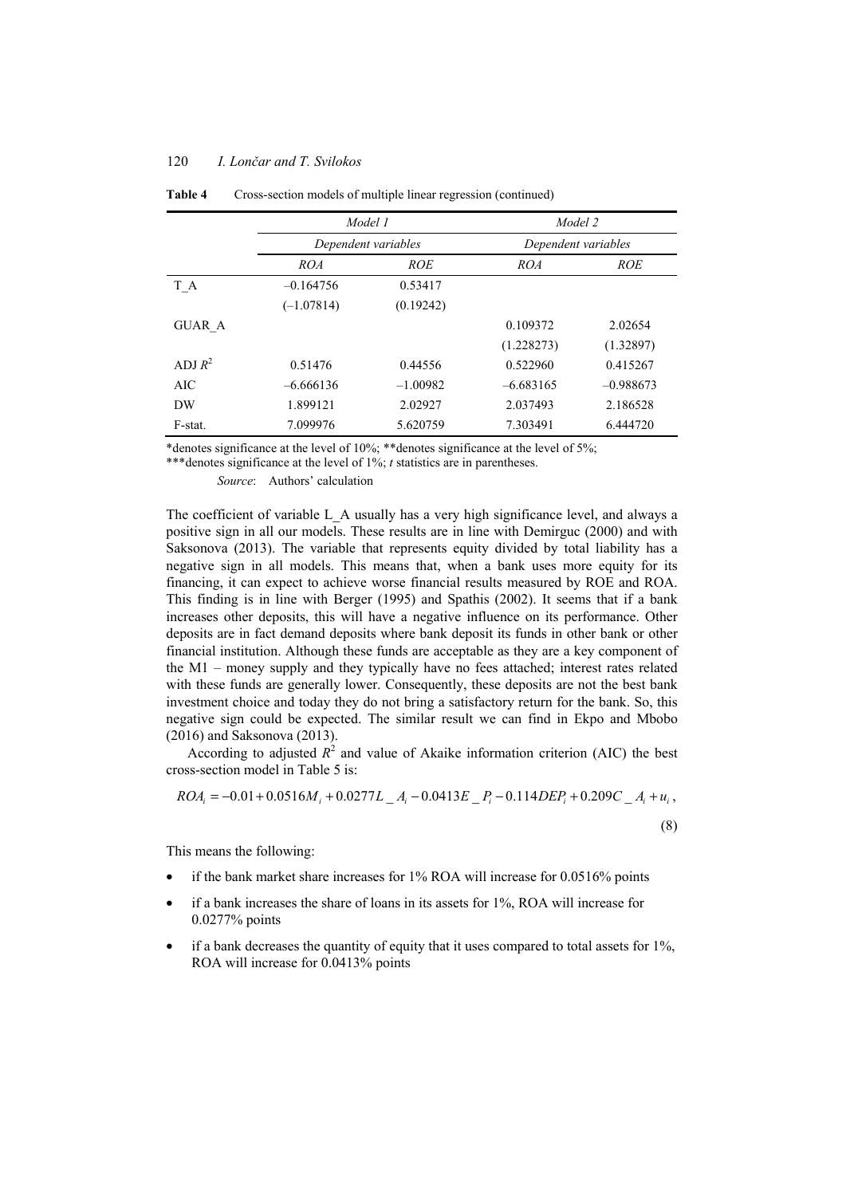#### 120 *I. Lončar and T. Svilokos*

|               | Model 1<br>Dependent variables |            | Model 2<br>Dependent variables |             |
|---------------|--------------------------------|------------|--------------------------------|-------------|
|               |                                |            |                                |             |
|               | ROA                            | <b>ROE</b> | ROA                            | <b>ROE</b>  |
| T A           | $-0.164756$                    | 0.53417    |                                |             |
|               | $(-1.07814)$                   | (0.19242)  |                                |             |
| <b>GUAR A</b> |                                |            | 0.109372                       | 2.02654     |
|               |                                |            | (1.228273)                     | (1.32897)   |
| ADI $R^2$     | 0.51476                        | 0.44556    | 0.522960                       | 0.415267    |
| AIC           | $-6.666136$                    | $-1.00982$ | $-6.683165$                    | $-0.988673$ |
| DW            | 1.899121                       | 2.02927    | 2.037493                       | 2.186528    |
| F-stat.       | 7.099976                       | 5.620759   | 7.303491                       | 6.444720    |

**Table 4** Cross-section models of multiple linear regression (continued)

\*denotes significance at the level of 10%; \*\*denotes significance at the level of 5%;

\*\*\*denotes significance at the level of 1%; *t* statistics are in parentheses.

*Source*: Authors' calculation

The coefficient of variable L\_A usually has a very high significance level, and always a positive sign in all our models. These results are in line with Demirguc (2000) and with Saksonova (2013). The variable that represents equity divided by total liability has a negative sign in all models. This means that, when a bank uses more equity for its financing, it can expect to achieve worse financial results measured by ROE and ROA. This finding is in line with Berger (1995) and Spathis (2002). It seems that if a bank increases other deposits, this will have a negative influence on its performance. Other deposits are in fact demand deposits where bank deposit its funds in other bank or other financial institution. Although these funds are acceptable as they are a key component of the M1 – money supply and they typically have no fees attached; interest rates related with these funds are generally lower. Consequently, these deposits are not the best bank investment choice and today they do not bring a satisfactory return for the bank. So, this negative sign could be expected. The similar result we can find in Ekpo and Mbobo (2016) and Saksonova (2013).

According to adjusted  $R^2$  and value of Akaike information criterion (AIC) the best cross-section model in Table 5 is:

$$
ROA_i = -0.01 + 0.0516M_i + 0.0277L_A - -0.0413E_B - -0.114DEP_i + 0.209C_A + u_i,
$$

(8)

This means the following:

- if the bank market share increases for 1% ROA will increase for 0.0516% points
- if a bank increases the share of loans in its assets for 1%, ROA will increase for 0.0277% points
- if a bank decreases the quantity of equity that it uses compared to total assets for 1%, ROA will increase for 0.0413% points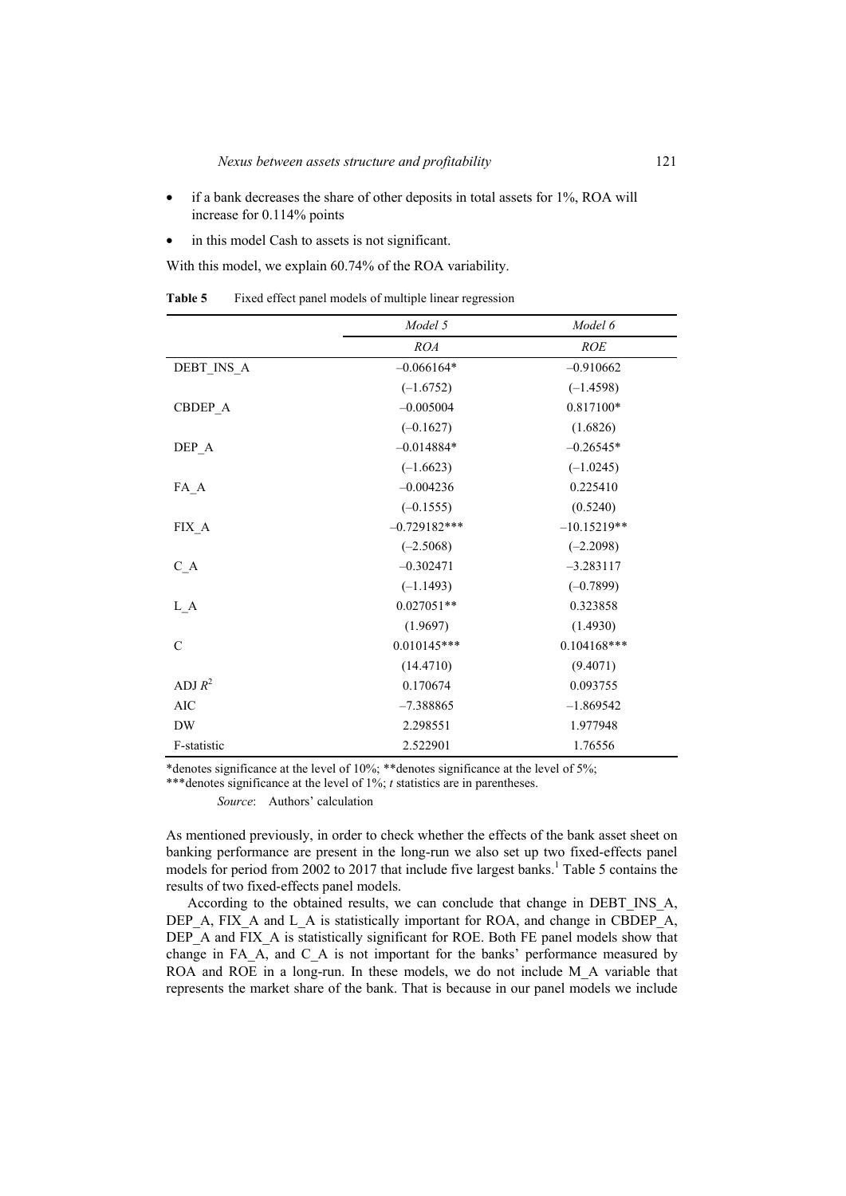- if a bank decreases the share of other deposits in total assets for 1%, ROA will increase for 0.114% points
- in this model Cash to assets is not significant.

With this model, we explain 60.74% of the ROA variability.

|               | Model 5        | Model 6       |
|---------------|----------------|---------------|
|               | ROA            | <b>ROE</b>    |
| DEBT INS A    | $-0.066164*$   | $-0.910662$   |
|               | $(-1.6752)$    | $(-1.4598)$   |
| CBDEP A       | $-0.005004$    | 0.817100*     |
|               | $(-0.1627)$    | (1.6826)      |
| DEP A         | $-0.014884*$   | $-0.26545*$   |
|               | $(-1.6623)$    | $(-1.0245)$   |
| $FA_A$        | $-0.004236$    | 0.225410      |
|               | $(-0.1555)$    | (0.5240)      |
| $FIX_A$       | $-0.729182***$ | $-10.15219**$ |
|               | $(-2.5068)$    | $(-2.2098)$   |
| $C_A$         | $-0.302471$    | $-3.283117$   |
|               | $(-1.1493)$    | $(-0.7899)$   |
| $L_A$         | $0.027051**$   | 0.323858      |
|               | (1.9697)       | (1.4930)      |
| $\mathcal{C}$ | $0.010145***$  | $0.104168***$ |
|               | (14.4710)      | (9.4071)      |
| ADJ $R^2$     | 0.170674       | 0.093755      |
| <b>AIC</b>    | $-7.388865$    | $-1.869542$   |
| <b>DW</b>     | 2.298551       | 1.977948      |
| F-statistic   | 2.522901       | 1.76556       |

**Table 5** Fixed effect panel models of multiple linear regression

\*denotes significance at the level of 10%; \*\*denotes significance at the level of 5%;

\*\*\*denotes significance at the level of 1%; *t* statistics are in parentheses.

*Source*: Authors' calculation

As mentioned previously, in order to check whether the effects of the bank asset sheet on banking performance are present in the long-run we also set up two fixed-effects panel models for period from 2002 to 2017 that include five largest banks.<sup>1</sup> Table 5 contains the results of two fixed-effects panel models.

According to the obtained results, we can conclude that change in DEBT\_INS\_A, DEP A, FIX A and L A is statistically important for ROA, and change in CBDEP A, DEP A and FIX A is statistically significant for ROE. Both FE panel models show that change in FA\_A, and C\_A is not important for the banks' performance measured by ROA and ROE in a long-run. In these models, we do not include M A variable that represents the market share of the bank. That is because in our panel models we include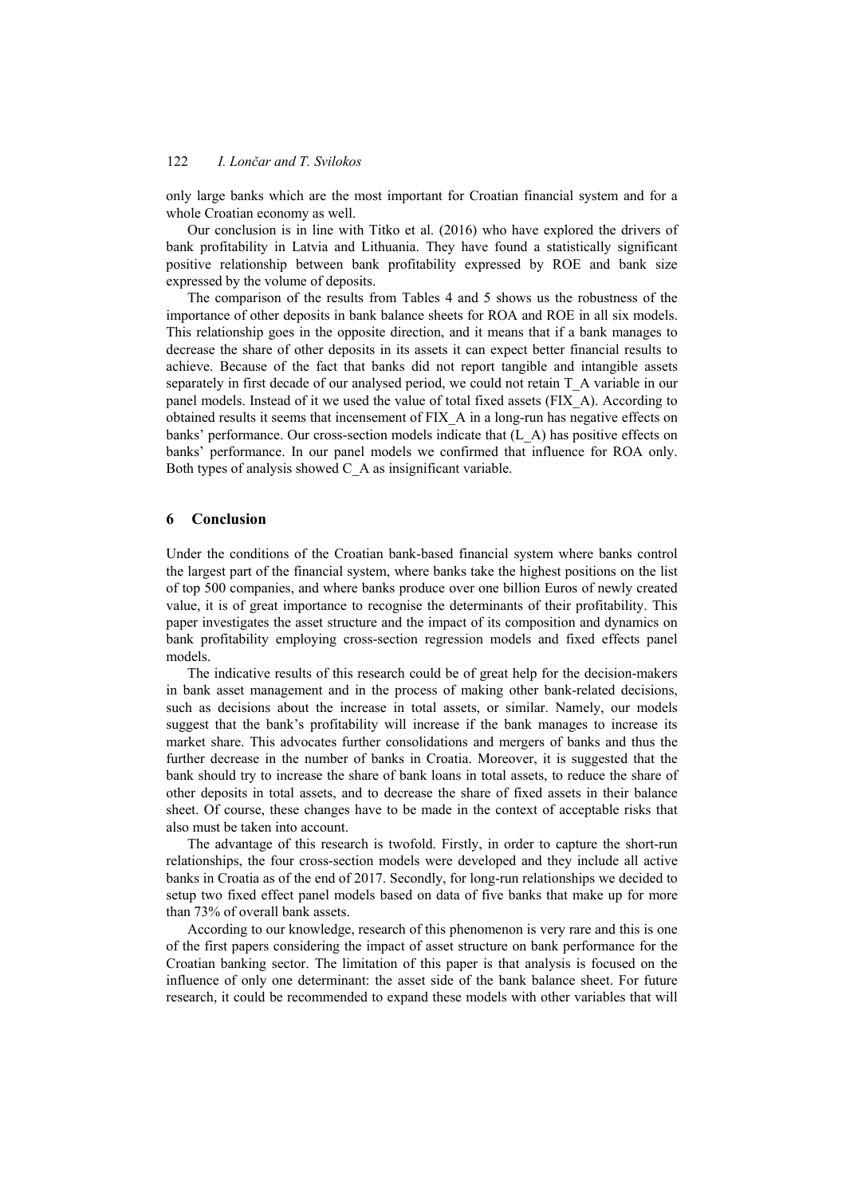only large banks which are the most important for Croatian financial system and for a whole Croatian economy as well.

Our conclusion is in line with Titko et al. (2016) who have explored the drivers of bank profitability in Latvia and Lithuania. They have found a statistically significant positive relationship between bank profitability expressed by ROE and bank size expressed by the volume of deposits.

The comparison of the results from Tables 4 and 5 shows us the robustness of the importance of other deposits in bank balance sheets for ROA and ROE in all six models. This relationship goes in the opposite direction, and it means that if a bank manages to decrease the share of other deposits in its assets it can expect better financial results to achieve. Because of the fact that banks did not report tangible and intangible assets separately in first decade of our analysed period, we could not retain T\_A variable in our panel models. Instead of it we used the value of total fixed assets (FIX\_A). According to obtained results it seems that incensement of FIX\_A in a long-run has negative effects on banks' performance. Our cross-section models indicate that (L\_A) has positive effects on banks' performance. In our panel models we confirmed that influence for ROA only. Both types of analysis showed C\_A as insignificant variable.

### **6 Conclusion**

Under the conditions of the Croatian bank-based financial system where banks control the largest part of the financial system, where banks take the highest positions on the list of top 500 companies, and where banks produce over one billion Euros of newly created value, it is of great importance to recognise the determinants of their profitability. This paper investigates the asset structure and the impact of its composition and dynamics on bank profitability employing cross-section regression models and fixed effects panel models.

The indicative results of this research could be of great help for the decision-makers in bank asset management and in the process of making other bank-related decisions, such as decisions about the increase in total assets, or similar. Namely, our models suggest that the bank's profitability will increase if the bank manages to increase its market share. This advocates further consolidations and mergers of banks and thus the further decrease in the number of banks in Croatia. Moreover, it is suggested that the bank should try to increase the share of bank loans in total assets, to reduce the share of other deposits in total assets, and to decrease the share of fixed assets in their balance sheet. Of course, these changes have to be made in the context of acceptable risks that also must be taken into account.

The advantage of this research is twofold. Firstly, in order to capture the short-run relationships, the four cross-section models were developed and they include all active banks in Croatia as of the end of 2017. Secondly, for long-run relationships we decided to setup two fixed effect panel models based on data of five banks that make up for more than 73% of overall bank assets.

According to our knowledge, research of this phenomenon is very rare and this is one of the first papers considering the impact of asset structure on bank performance for the Croatian banking sector. The limitation of this paper is that analysis is focused on the influence of only one determinant: the asset side of the bank balance sheet. For future research, it could be recommended to expand these models with other variables that will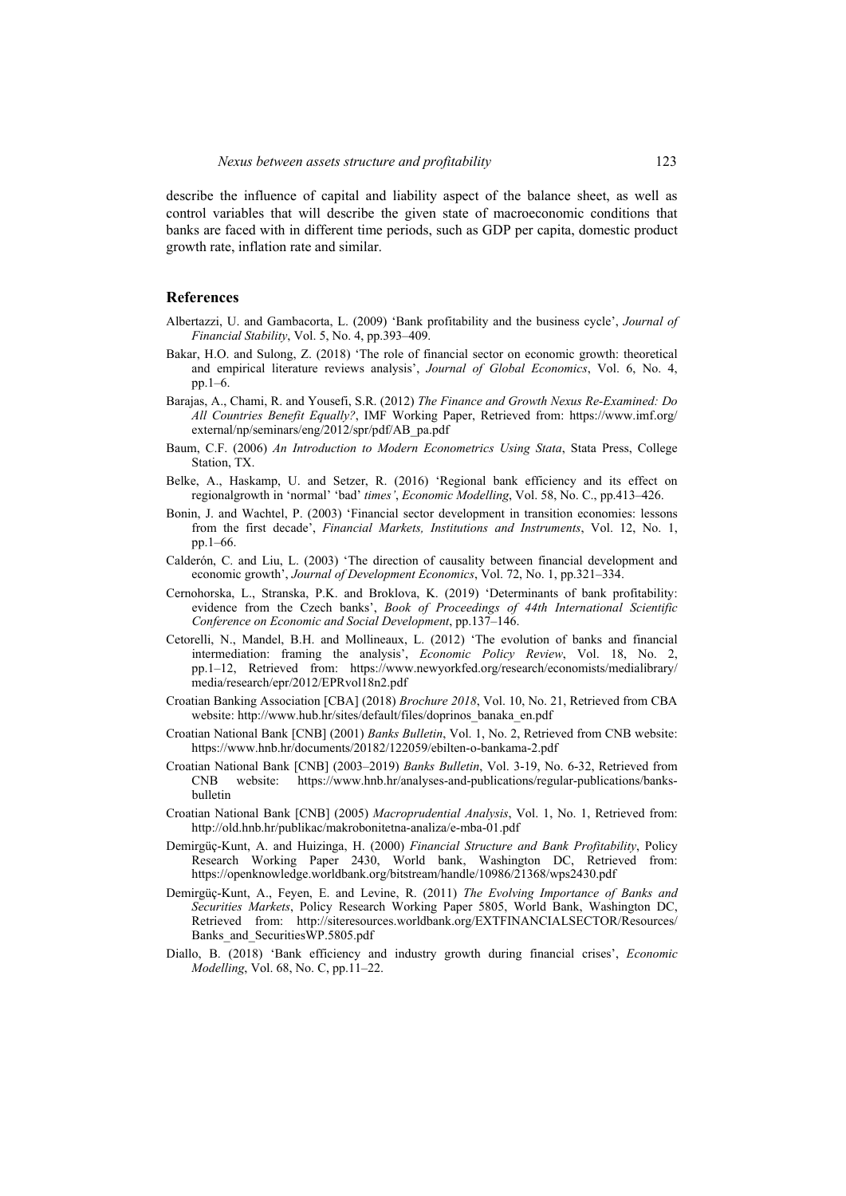describe the influence of capital and liability aspect of the balance sheet, as well as control variables that will describe the given state of macroeconomic conditions that banks are faced with in different time periods, such as GDP per capita, domestic product growth rate, inflation rate and similar.

## **References**

- Albertazzi, U. and Gambacorta, L. (2009) 'Bank profitability and the business cycle', *Journal of Financial Stability*, Vol. 5, No. 4, pp.393–409.
- Bakar, H.O. and Sulong, Z. (2018) 'The role of financial sector on economic growth: theoretical and empirical literature reviews analysis', *Journal of Global Economics*, Vol. 6, No. 4, pp.1–6.
- Barajas, A., Chami, R. and Yousefi, S.R. (2012) *The Finance and Growth Nexus Re-Examined: Do All Countries Benefit Equally?*, IMF Working Paper, Retrieved from: https://www.imf.org/ external/np/seminars/eng/2012/spr/pdf/AB\_pa.pdf
- Baum, C.F. (2006) *An Introduction to Modern Econometrics Using Stata*, Stata Press, College Station, TX.
- Belke, A., Haskamp, U. and Setzer, R. (2016) 'Regional bank efficiency and its effect on regionalgrowth in 'normal' 'bad' *times'*, *Economic Modelling*, Vol. 58, No. C., pp.413–426.
- Bonin, J. and Wachtel, P. (2003) 'Financial sector development in transition economies: lessons from the first decade', *Financial Markets, Institutions and Instruments*, Vol. 12, No. 1, pp.1–66.
- Calderón, C. and Liu, L. (2003) 'The direction of causality between financial development and economic growth', *Journal of Development Economics*, Vol. 72, No. 1, pp.321–334.
- Cernohorska, L., Stranska, P.K. and Broklova, K. (2019) 'Determinants of bank profitability: evidence from the Czech banks', *Book of Proceedings of 44th International Scientific Conference on Economic and Social Development*, pp.137–146.
- Cetorelli, N., Mandel, B.H. and Mollineaux, L. (2012) 'The evolution of banks and financial intermediation: framing the analysis', *Economic Policy Review*, Vol. 18, No. 2, pp.1–12, Retrieved from: https://www.newyorkfed.org/research/economists/medialibrary/ media/research/epr/2012/EPRvol18n2.pdf
- Croatian Banking Association [CBA] (2018) *Brochure 2018*, Vol. 10, No. 21, Retrieved from CBA website: http://www.hub.hr/sites/default/files/doprinos\_banaka\_en.pdf
- Croatian National Bank [CNB] (2001) *Banks Bulletin*, Vol. 1, No. 2, Retrieved from CNB website: https://www.hnb.hr/documents/20182/122059/ebilten-o-bankama-2.pdf
- Croatian National Bank [CNB] (2003–2019) *Banks Bulletin*, Vol. 3-19, No. 6-32, Retrieved from CNB website: https://www.hnb.hr/analyses-and-publications/regular-publications/banksbulletin
- Croatian National Bank [CNB] (2005) *Macroprudential Analysis*, Vol. 1, No. 1, Retrieved from: http://old.hnb.hr/publikac/makrobonitetna-analiza/e-mba-01.pdf
- Demirgüç-Kunt, A. and Huizinga, H. (2000) *Financial Structure and Bank Profitability*, Policy Research Working Paper 2430, World bank, Washington DC, Retrieved from: https://openknowledge.worldbank.org/bitstream/handle/10986/21368/wps2430.pdf
- Demirgüç-Kunt, A., Feyen, E. and Levine, R. (2011) *The Evolving Importance of Banks and Securities Markets*, Policy Research Working Paper 5805, World Bank, Washington DC, Retrieved from: http://siteresources.worldbank.org/EXTFINANCIALSECTOR/Resources/ Banks\_and\_SecuritiesWP.5805.pdf
- Diallo, B. (2018) 'Bank efficiency and industry growth during financial crises', *Economic Modelling*, Vol. 68, No. C, pp.11–22.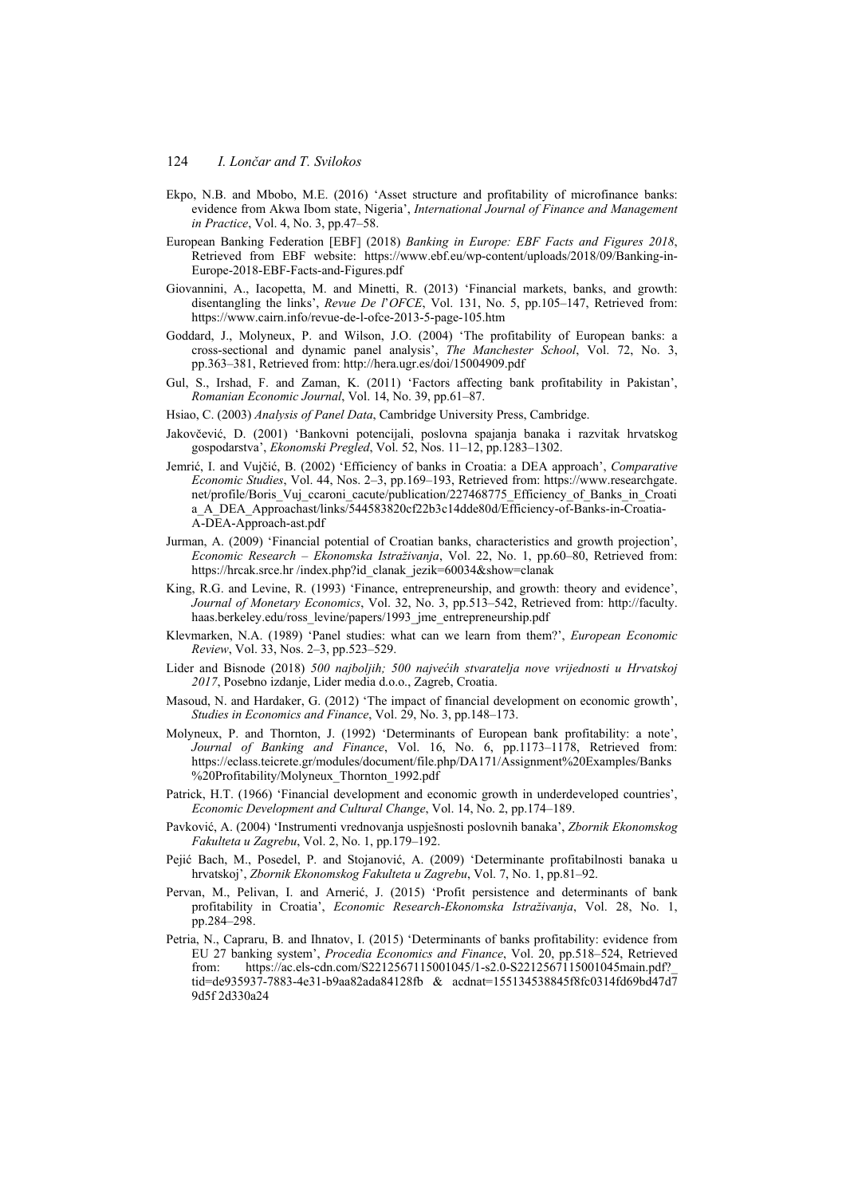- Ekpo, N.B. and Mbobo, M.E. (2016) 'Asset structure and profitability of microfinance banks: evidence from Akwa Ibom state, Nigeria', *International Journal of Finance and Management in Practice*, Vol. 4, No. 3, pp.47–58.
- European Banking Federation [EBF] (2018) *Banking in Europe: EBF Facts and Figures 2018*, Retrieved from EBF website: https://www.ebf.eu/wp-content/uploads/2018/09/Banking-in-Europe-2018-EBF-Facts-and-Figures.pdf
- Giovannini, A., Iacopetta, M. and Minetti, R. (2013) 'Financial markets, banks, and growth: disentangling the links', *Revue De l*'*OFCE*, Vol. 131, No. 5, pp.105–147, Retrieved from: https://www.cairn.info/revue-de-l-ofce-2013-5-page-105.htm
- Goddard, J., Molyneux, P. and Wilson, J.O. (2004) 'The profitability of European banks: a cross-sectional and dynamic panel analysis', *The Manchester School*, Vol. 72, No. 3, pp.363–381, Retrieved from: http://hera.ugr.es/doi/15004909.pdf
- Gul, S., Irshad, F. and Zaman, K. (2011) 'Factors affecting bank profitability in Pakistan', *Romanian Economic Journal*, Vol. 14, No. 39, pp.61–87.
- Hsiao, C. (2003) *Analysis of Panel Data*, Cambridge University Press, Cambridge.
- Jakovčević, D. (2001) 'Bankovni potencijali, poslovna spajanja banaka i razvitak hrvatskog gospodarstva', *Ekonomski Pregled*, Vol. 52, Nos. 11–12, pp.1283–1302.
- Jemrić, I. and Vujčić, B. (2002) 'Efficiency of banks in Croatia: a DEA approach', *Comparative Economic Studies*, Vol. 44, Nos. 2–3, pp.169–193, Retrieved from: https://www.researchgate. net/profile/Boris Vuj ccaroni cacute/publication/227468775 Efficiency of Banks in Croati a\_A\_DEA\_Approachast/links/544583820cf22b3c14dde80d/Efficiency-of-Banks-in-Croatia-A-DEA-Approach-ast.pdf
- Jurman, A. (2009) 'Financial potential of Croatian banks, characteristics and growth projection', *Economic Research – Ekonomska Istraživanja*, Vol. 22, No. 1, pp.60–80, Retrieved from: https://hrcak.srce.hr/index.php?id\_clanak\_jezik=60034&show=clanak
- King, R.G. and Levine, R. (1993) 'Finance, entrepreneurship, and growth: theory and evidence', *Journal of Monetary Economics*, Vol. 32, No. 3, pp.513–542, Retrieved from: http://faculty. haas.berkeley.edu/ross\_levine/papers/1993\_jme\_entrepreneurship.pdf
- Klevmarken, N.A. (1989) 'Panel studies: what can we learn from them?', *European Economic Review*, Vol. 33, Nos. 2–3, pp.523–529.
- Lider and Bisnode (2018) *500 najboljih; 500 najvećih stvaratelja nove vrijednosti u Hrvatskoj 2017*, Posebno izdanje, Lider media d.o.o., Zagreb, Croatia.
- Masoud, N. and Hardaker, G. (2012) 'The impact of financial development on economic growth', *Studies in Economics and Finance*, Vol. 29, No. 3, pp.148–173.
- Molyneux, P. and Thornton, J. (1992) 'Determinants of European bank profitability: a note', *Journal of Banking and Finance*, Vol. 16, No. 6, pp.1173–1178, Retrieved from: https://eclass.teicrete.gr/modules/document/file.php/DA171/Assignment%20Examples/Banks %20Profitability/Molyneux\_Thornton\_1992.pdf
- Patrick, H.T. (1966) 'Financial development and economic growth in underdeveloped countries', *Economic Development and Cultural Change*, Vol. 14, No. 2, pp.174–189.
- Pavković, A. (2004) 'Instrumenti vrednovanja uspješnosti poslovnih banaka', *Zbornik Ekonomskog Fakulteta u Zagrebu*, Vol. 2, No. 1, pp.179–192.
- Pejić Bach, M., Posedel, P. and Stojanović, A. (2009) 'Determinante profitabilnosti banaka u hrvatskoj', *Zbornik Ekonomskog Fakulteta u Zagrebu*, Vol. 7, No. 1, pp.81–92.
- Pervan, M., Pelivan, I. and Arnerić, J. (2015) 'Profit persistence and determinants of bank profitability in Croatia', *Economic Research-Ekonomska Istraživanja*, Vol. 28, No. 1, pp.284–298.
- Petria, N., Capraru, B. and Ihnatov, I. (2015) 'Determinants of banks profitability: evidence from EU 27 banking system', *Procedia Economics and Finance*, Vol. 20, pp.518–524, Retrieved from: https://ac.els-cdn.com/S2212567115001045/1-s2.0-S2212567115001045main.pdf?\_ tid=de935937-7883-4e31-b9aa82ada84128fb & acdnat=155134538845f8fc0314fd69bd47d7 9d5f 2d330a24